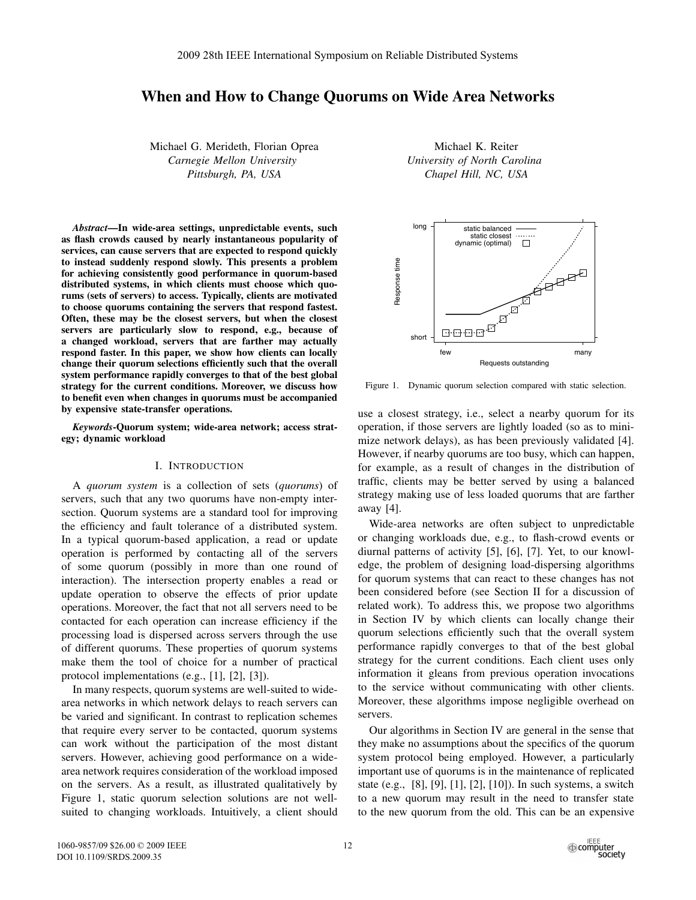# **When and How to Change Quorums on Wide Area Networks**

Michael G. Merideth, Florian Oprea *Carnegie Mellon University Pittsburgh, PA, USA*

*Abstract***—In wide-area settings, unpredictable events, such as flash crowds caused by nearly instantaneous popularity of services, can cause servers that are expected to respond quickly to instead suddenly respond slowly. This presents a problem for achieving consistently good performance in quorum-based distributed systems, in which clients must choose which quorums (sets of servers) to access. Typically, clients are motivated to choose quorums containing the servers that respond fastest. Often, these may be the closest servers, but when the closest servers are particularly slow to respond, e.g., because of a changed workload, servers that are farther may actually respond faster. In this paper, we show how clients can locally change their quorum selections efficiently such that the overall system performance rapidly converges to that of the best global strategy for the current conditions. Moreover, we discuss how to benefit even when changes in quorums must be accompanied by expensive state-transfer operations.**

*Keywords***-Quorum system; wide-area network; access strategy; dynamic workload**

## I. INTRODUCTION

A *quorum system* is a collection of sets (*quorums*) of servers, such that any two quorums have non-empty intersection. Quorum systems are a standard tool for improving the efficiency and fault tolerance of a distributed system. In a typical quorum-based application, a read or update operation is performed by contacting all of the servers of some quorum (possibly in more than one round of interaction). The intersection property enables a read or update operation to observe the effects of prior update operations. Moreover, the fact that not all servers need to be contacted for each operation can increase efficiency if the processing load is dispersed across servers through the use of different quorums. These properties of quorum systems make them the tool of choice for a number of practical protocol implementations (e.g., [1], [2], [3]).

In many respects, quorum systems are well-suited to widearea networks in which network delays to reach servers can be varied and significant. In contrast to replication schemes that require every server to be contacted, quorum systems can work without the participation of the most distant servers. However, achieving good performance on a widearea network requires consideration of the workload imposed on the servers. As a result, as illustrated qualitatively by Figure 1, static quorum selection solutions are not wellsuited to changing workloads. Intuitively, a client should

Michael K. Reiter *University of North Carolina Chapel Hill, NC, USA*



Figure 1. Dynamic quorum selection compared with static selection.

use a closest strategy, i.e., select a nearby quorum for its operation, if those servers are lightly loaded (so as to minimize network delays), as has been previously validated [4]. However, if nearby quorums are too busy, which can happen, for example, as a result of changes in the distribution of traffic, clients may be better served by using a balanced strategy making use of less loaded quorums that are farther away [4].

Wide-area networks are often subject to unpredictable or changing workloads due, e.g., to flash-crowd events or diurnal patterns of activity [5], [6], [7]. Yet, to our knowledge, the problem of designing load-dispersing algorithms for quorum systems that can react to these changes has not been considered before (see Section II for a discussion of related work). To address this, we propose two algorithms in Section IV by which clients can locally change their quorum selections efficiently such that the overall system performance rapidly converges to that of the best global strategy for the current conditions. Each client uses only information it gleans from previous operation invocations to the service without communicating with other clients. Moreover, these algorithms impose negligible overhead on servers.

Our algorithms in Section IV are general in the sense that they make no assumptions about the specifics of the quorum system protocol being employed. However, a particularly important use of quorums is in the maintenance of replicated state (e.g., [8], [9], [1], [2], [10]). In such systems, a switch to a new quorum may result in the need to transfer state to the new quorum from the old. This can be an expensive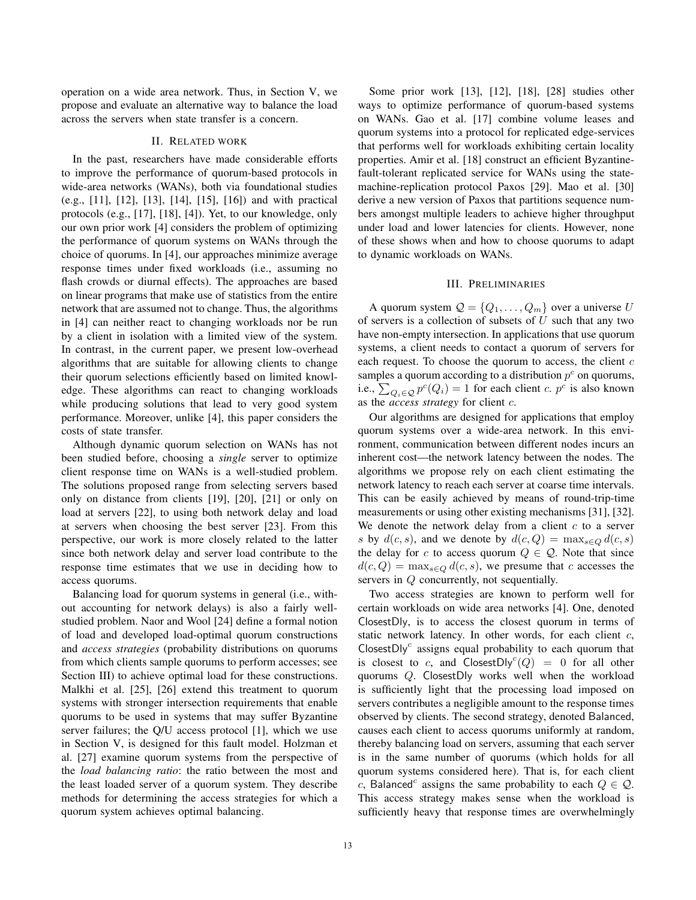operation on a wide area network. Thus, in Section V, we propose and evaluate an alternative way to balance the load across the servers when state transfer is a concern.

## II. RELATED WORK

In the past, researchers have made considerable efforts to improve the performance of quorum-based protocols in wide-area networks (WANs), both via foundational studies (e.g., [11], [12], [13], [14], [15], [16]) and with practical protocols (e.g., [17], [18], [4]). Yet, to our knowledge, only our own prior work [4] considers the problem of optimizing the performance of quorum systems on WANs through the choice of quorums. In [4], our approaches minimize average response times under fixed workloads (i.e., assuming no flash crowds or diurnal effects). The approaches are based on linear programs that make use of statistics from the entire network that are assumed not to change. Thus, the algorithms in [4] can neither react to changing workloads nor be run by a client in isolation with a limited view of the system. In contrast, in the current paper, we present low-overhead algorithms that are suitable for allowing clients to change their quorum selections efficiently based on limited knowledge. These algorithms can react to changing workloads while producing solutions that lead to very good system performance. Moreover, unlike [4], this paper considers the costs of state transfer.

Although dynamic quorum selection on WANs has not been studied before, choosing a *single* server to optimize client response time on WANs is a well-studied problem. The solutions proposed range from selecting servers based only on distance from clients [19], [20], [21] or only on load at servers [22], to using both network delay and load at servers when choosing the best server [23]. From this perspective, our work is more closely related to the latter since both network delay and server load contribute to the response time estimates that we use in deciding how to access quorums.

Balancing load for quorum systems in general (i.e., without accounting for network delays) is also a fairly wellstudied problem. Naor and Wool [24] define a formal notion of load and developed load-optimal quorum constructions and *access strategies* (probability distributions on quorums from which clients sample quorums to perform accesses; see Section III) to achieve optimal load for these constructions. Malkhi et al. [25], [26] extend this treatment to quorum systems with stronger intersection requirements that enable quorums to be used in systems that may suffer Byzantine server failures; the Q/U access protocol [1], which we use in Section V, is designed for this fault model. Holzman et al. [27] examine quorum systems from the perspective of the *load balancing ratio*: the ratio between the most and the least loaded server of a quorum system. They describe methods for determining the access strategies for which a quorum system achieves optimal balancing.

Some prior work [13], [12], [18], [28] studies other ways to optimize performance of quorum-based systems on WANs. Gao et al. [17] combine volume leases and quorum systems into a protocol for replicated edge-services that performs well for workloads exhibiting certain locality properties. Amir et al. [18] construct an efficient Byzantinefault-tolerant replicated service for WANs using the statemachine-replication protocol Paxos [29]. Mao et al. [30] derive a new version of Paxos that partitions sequence numbers amongst multiple leaders to achieve higher throughput under load and lower latencies for clients. However, none of these shows when and how to choose quorums to adapt to dynamic workloads on WANs.

## III. PRELIMINARIES

A quorum system  $Q = \{Q_1, \ldots, Q_m\}$  over a universe U of servers is a collection of subsets of  $U$  such that any two have non-empty intersection. In applications that use quorum systems, a client needs to contact a quorum of servers for each request. To choose the quorum to access, the client  $c$ samples a quorum according to a distribution  $p^c$  on quorums, i.e.,  $\sum_{Q_i \in \mathcal{Q}} p^c(Q_i) = 1$  for each client c.  $p^c$  is also known as the *access strategy* for client c.

Our algorithms are designed for applications that employ quorum systems over a wide-area network. In this environment, communication between different nodes incurs an inherent cost—the network latency between the nodes. The algorithms we propose rely on each client estimating the network latency to reach each server at coarse time intervals. This can be easily achieved by means of round-trip-time measurements or using other existing mechanisms [31], [32]. We denote the network delay from a client  $c$  to a server s by  $d(c, s)$ , and we denote by  $d(c, Q) = \max_{s \in Q} d(c, s)$ the delay for c to access quorum  $Q \in \mathcal{Q}$ . Note that since  $d(c, Q) = \max_{s \in Q} d(c, s)$ , we presume that c accesses the servers in  $Q$  concurrently, not sequentially.

Two access strategies are known to perform well for certain workloads on wide area networks [4]. One, denoted ClosestDly, is to access the closest quorum in terms of static network latency. In other words, for each client  $c$ , ClosestDly $^c$  assigns equal probability to each quorum that is closest to c, and ClosestDly<sup>c</sup>( $Q$ ) = 0 for all other<br>quorums Q ClosestDly works well when the workload quorums Q. ClosestDly works well when the workload is sufficiently light that the processing load imposed on servers contributes a negligible amount to the response times observed by clients. The second strategy, denoted Balanced, causes each client to access quorums uniformly at random, thereby balancing load on servers, assuming that each server is in the same number of quorums (which holds for all quorum systems considered here). That is, for each client c, Balanced<sup>c</sup> assigns the same probability to each  $Q \in \mathcal{Q}$ . This access strategy makes sense when the workload is sufficiently heavy that response times are overwhelmingly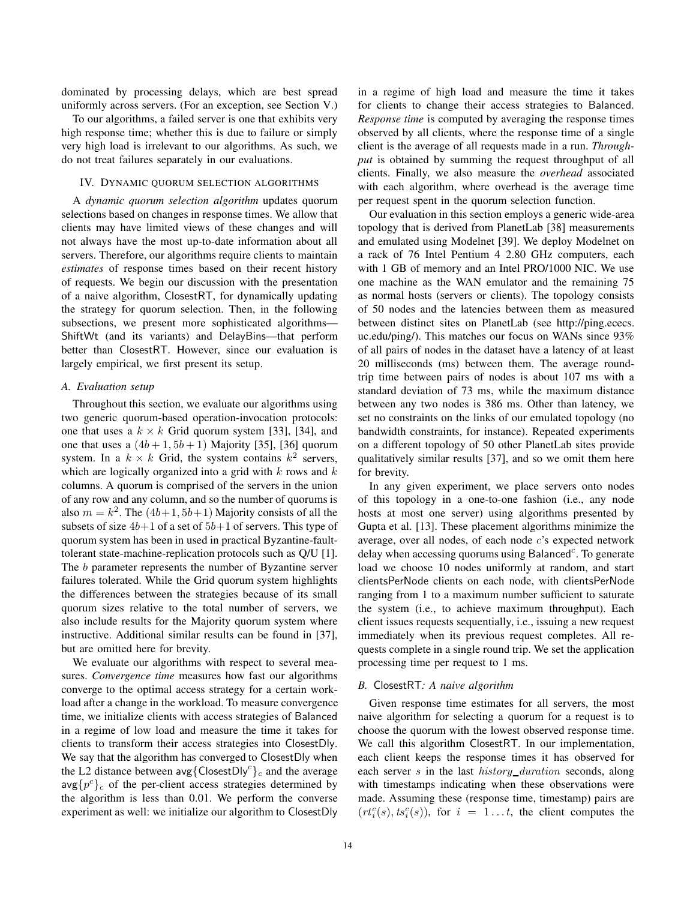dominated by processing delays, which are best spread uniformly across servers. (For an exception, see Section V.)

To our algorithms, a failed server is one that exhibits very high response time; whether this is due to failure or simply very high load is irrelevant to our algorithms. As such, we do not treat failures separately in our evaluations.

# IV. DYNAMIC QUORUM SELECTION ALGORITHMS

A *dynamic quorum selection algorithm* updates quorum selections based on changes in response times. We allow that clients may have limited views of these changes and will not always have the most up-to-date information about all servers. Therefore, our algorithms require clients to maintain *estimates* of response times based on their recent history of requests. We begin our discussion with the presentation of a naive algorithm, ClosestRT, for dynamically updating the strategy for quorum selection. Then, in the following subsections, we present more sophisticated algorithms— ShiftWt (and its variants) and DelayBins—that perform better than ClosestRT. However, since our evaluation is largely empirical, we first present its setup.

# *A. Evaluation setup*

Throughout this section, we evaluate our algorithms using two generic quorum-based operation-invocation protocols: one that uses a  $k \times k$  Grid quorum system [33], [34], and one that uses a  $(4b+1, 5b+1)$  Majority [35], [36] quorum system. In a  $k \times k$  Grid, the system contains  $k^2$  servers, which are logically organized into a grid with  $k$  rows and  $k$ columns. A quorum is comprised of the servers in the union of any row and any column, and so the number of quorums is also  $m = k^2$ . The  $(4b+1, 5b+1)$  Majority consists of all the subsets of size  $4b+1$  of a set of  $5b+1$  of servers. This type of quorum system has been in used in practical Byzantine-faulttolerant state-machine-replication protocols such as Q/U [1]. The b parameter represents the number of Byzantine server failures tolerated. While the Grid quorum system highlights the differences between the strategies because of its small quorum sizes relative to the total number of servers, we also include results for the Majority quorum system where instructive. Additional similar results can be found in [37], but are omitted here for brevity.

We evaluate our algorithms with respect to several measures. *Convergence time* measures how fast our algorithms converge to the optimal access strategy for a certain workload after a change in the workload. To measure convergence time, we initialize clients with access strategies of Balanced in a regime of low load and measure the time it takes for clients to transform their access strategies into ClosestDly. We say that the algorithm has converged to ClosestDly when the L2 distance between  $avg\{ClosestDly^c\}_c$  and the average  $\{p^c\}_c$  of the per-client access strategies determined by the algorithm is less than 0.01. We perform the converse experiment as well: we initialize our algorithm to ClosestDly in a regime of high load and measure the time it takes for clients to change their access strategies to Balanced. *Response time* is computed by averaging the response times observed by all clients, where the response time of a single client is the average of all requests made in a run. *Throughput* is obtained by summing the request throughput of all clients. Finally, we also measure the *overhead* associated with each algorithm, where overhead is the average time per request spent in the quorum selection function.

Our evaluation in this section employs a generic wide-area topology that is derived from PlanetLab [38] measurements and emulated using Modelnet [39]. We deploy Modelnet on a rack of 76 Intel Pentium 4 2.80 GHz computers, each with 1 GB of memory and an Intel PRO/1000 NIC. We use one machine as the WAN emulator and the remaining 75 as normal hosts (servers or clients). The topology consists of 50 nodes and the latencies between them as measured between distinct sites on PlanetLab (see http://ping.ececs. uc.edu/ping/). This matches our focus on WANs since 93% of all pairs of nodes in the dataset have a latency of at least 20 milliseconds (ms) between them. The average roundtrip time between pairs of nodes is about 107 ms with a standard deviation of 73 ms, while the maximum distance between any two nodes is 386 ms. Other than latency, we set no constraints on the links of our emulated topology (no bandwidth constraints, for instance). Repeated experiments on a different topology of 50 other PlanetLab sites provide qualitatively similar results [37], and so we omit them here for brevity.

In any given experiment, we place servers onto nodes of this topology in a one-to-one fashion (i.e., any node hosts at most one server) using algorithms presented by Gupta et al. [13]. These placement algorithms minimize the average, over all nodes, of each node  $c$ 's expected network delay when accessing quorums using Balanced $\text{c}$ . To generate load we choose 10 nodes uniformly at random, and start clientsPerNode clients on each node, with clientsPerNode ranging from 1 to a maximum number sufficient to saturate the system (i.e., to achieve maximum throughput). Each client issues requests sequentially, i.e., issuing a new request immediately when its previous request completes. All requests complete in a single round trip. We set the application processing time per request to 1 ms.

## *B.* ClosestRT*: A naive algorithm*

Given response time estimates for all servers, the most naive algorithm for selecting a quorum for a request is to choose the quorum with the lowest observed response time. We call this algorithm ClosestRT. In our implementation, each client keeps the response times it has observed for each server s in the last *history* duration seconds, along with timestamps indicating when these observations were made. Assuming these (response time, timestamp) pairs are  $(rt_i^c(s), ts_i^c(s)),$  for  $i = 1...t$ , the client computes the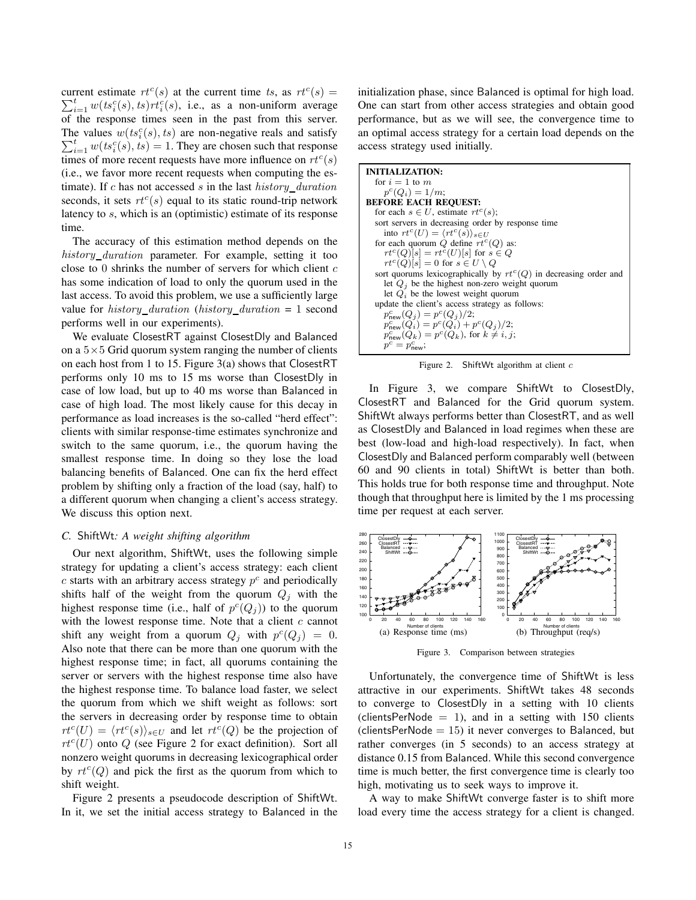current estimate  $rt^c(s)$  at the current time ts, as  $rt^c(s) = \sum_{s=0}^{t} u(t)e^{ct}(s)$  to the subsequent of a non-uniform average  $\sum_{i=1}^{t} w(ts_i^c(s), ts)rt_i^c(s)$ , i.e., as a non-uniform average<br>of the response times seen in the past from this server of the response times seen in the past from this server. The values  $w(ts_i^c(s), ts)$  are non-negative reals and satisfy  $\sum_{i=1}^{t} w(ts_i^c(s), ts) = 1$ . They are chosen such that response  $\sum_{i=1}^{t} w(ts_i^c(s), ts) = 1$ . They are chosen such that response<br>times of more recent requests have more influence on  $r t^c(s)$ . times of more recent requests have more influence on  $rt^c(s)$ (i.e., we favor more recent requests when computing the estimate). If  $c$  has not accessed  $s$  in the last history\_duration seconds, it sets  $rt^c(s)$  equal to its static round-trip network latency to s, which is an (optimistic) estimate of its response time.

The accuracy of this estimation method depends on the history\_duration parameter. For example, setting it too close to  $0$  shrinks the number of servers for which client  $c$ has some indication of load to only the quorum used in the last access. To avoid this problem, we use a sufficiently large value for history\_duration (history\_duration = 1 second performs well in our experiments).

We evaluate ClosestRT against ClosestDly and Balanced on a  $5\times 5$  Grid quorum system ranging the number of clients on each host from 1 to 15. Figure 3(a) shows that ClosestRT performs only 10 ms to 15 ms worse than ClosestDly in case of low load, but up to 40 ms worse than Balanced in case of high load. The most likely cause for this decay in performance as load increases is the so-called "herd effect": clients with similar response-time estimates synchronize and switch to the same quorum, i.e., the quorum having the smallest response time. In doing so they lose the load balancing benefits of Balanced. One can fix the herd effect problem by shifting only a fraction of the load (say, half) to a different quorum when changing a client's access strategy. We discuss this option next.

## *C.* ShiftWt*: A weight shifting algorithm*

Our next algorithm, ShiftWt, uses the following simple strategy for updating a client's access strategy: each client  $c$  starts with an arbitrary access strategy  $p^c$  and periodically shifts half of the weight from the quorum  $Q_i$  with the highest response time (i.e., half of  $p^{c}(Q_i)$ ) to the quorum with the lowest response time. Note that a client  $c$  cannot shift any weight from a quorum  $Q_i$  with  $p^{c}(Q_i) = 0$ . Also note that there can be more than one quorum with the highest response time; in fact, all quorums containing the server or servers with the highest response time also have the highest response time. To balance load faster, we select the quorum from which we shift weight as follows: sort the servers in decreasing order by response time to obtain  $rt^c(U) = \langle rt^c(s) \rangle_{s \in U}$  and let  $rt^c(Q)$  be the projection of  $rt<sup>c</sup>(U)$  onto Q (see Figure 2 for exact definition). Sort all nonzero weight quorums in decreasing lexicographical order by  $rt^c(Q)$  and pick the first as the quorum from which to shift weight.

Figure 2 presents a pseudocode description of ShiftWt. In it, we set the initial access strategy to Balanced in the initialization phase, since Balanced is optimal for high load. One can start from other access strategies and obtain good performance, but as we will see, the convergence time to an optimal access strategy for a certain load depends on the access strategy used initially.

| <b>INITIALIZATION:</b>                                              |
|---------------------------------------------------------------------|
| for $i=1$ to m                                                      |
| $p^{c}(Q_i) = 1/m;$                                                 |
| <b>BEFORE EACH REQUEST:</b>                                         |
| for each $s \in U$ , estimate $rt^c(s)$ ;                           |
| sort servers in decreasing order by response time                   |
| into $rt^c(U) = \langle rt^c(s) \rangle_{s \in U}$                  |
| for each quorum Q define $rt^c(Q)$ as:                              |
| $rt^c(Q)[s] = rt^c(U)[s]$ for $s \in Q$                             |
| $rt^c(Q)[s] = 0$ for $s \in U \setminus Q$                          |
| sort quorums lexicographically by $rt^c(Q)$ in decreasing order and |
| let $Q_i$ be the highest non-zero weight quorum                     |
| let $Q_i$ be the lowest weight quorum                               |
| update the client's access strategy as follows:                     |
| $p_{\text{new}}^c(Q_i) = p^c(Q_i)/2;$                               |
| $p_{\text{new}}^c(Q_i) = p^c(Q_i) + p^c(Q_i)/2;$                    |
| $p_{\text{new}}^c(Q_k) = p^c(Q_k)$ , for $k \neq i, j$ ;            |
| $p^c = p^c_{\text{new}};$                                           |

Figure 2. ShiftWt algorithm at client  $c$ 

In Figure 3, we compare ShiftWt to ClosestDly, ClosestRT and Balanced for the Grid quorum system. ShiftWt always performs better than ClosestRT, and as well as ClosestDly and Balanced in load regimes when these are best (low-load and high-load respectively). In fact, when ClosestDly and Balanced perform comparably well (between 60 and 90 clients in total) ShiftWt is better than both. This holds true for both response time and throughput. Note though that throughput here is limited by the 1 ms processing time per request at each server.



Figure 3. Comparison between strategies

Unfortunately, the convergence time of ShiftWt is less attractive in our experiments. ShiftWt takes 48 seconds to converge to ClosestDly in a setting with 10 clients (clientsPerNode  $= 1$ ), and in a setting with 150 clients (clientsPerNode  $= 15$ ) it never converges to Balanced, but rather converges (in 5 seconds) to an access strategy at distance 0.15 from Balanced. While this second convergence time is much better, the first convergence time is clearly too high, motivating us to seek ways to improve it.

A way to make ShiftWt converge faster is to shift more load every time the access strategy for a client is changed.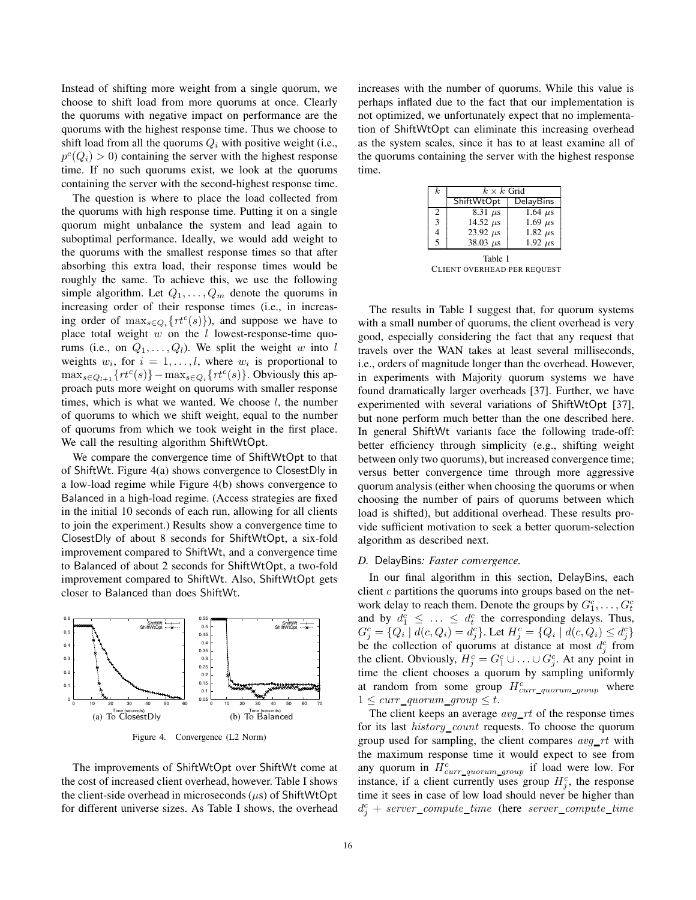Instead of shifting more weight from a single quorum, we choose to shift load from more quorums at once. Clearly the quorums with negative impact on performance are the quorums with the highest response time. Thus we choose to shift load from all the quorums  $Q_i$  with positive weight (i.e.,  $p^{c}(Q_i) > 0$ ) containing the server with the highest response<br>time. If no such quorums exist, we look at the quorums time. If no such quorums exist, we look at the quorums containing the server with the second-highest response time.

The question is where to place the load collected from the quorums with high response time. Putting it on a single quorum might unbalance the system and lead again to suboptimal performance. Ideally, we would add weight to the quorums with the smallest response times so that after absorbing this extra load, their response times would be roughly the same. To achieve this, we use the following simple algorithm. Let  $Q_1, \ldots, Q_m$  denote the quorums in increasing order of their response times (i.e., in increasing order of  $\max_{s \in Q_i} \{ r t^c(s) \}$ , and suppose we have to place total weight  $w$  on the  $l$  lowest-response-time quorums (i.e., on  $Q_1, \ldots, Q_l$ ). We split the weight w into l weights  $w_i$ , for  $i = 1, \ldots, l$ , where  $w_i$  is proportional to  $\max_{s \in Q_{l+1}} \{rt^c(s)\} - \max_{s \in Q_i} \{rt^c(s)\}.$  Obviously this approach puts more weight on quorums with smaller response times, which is what we wanted. We choose  $l$ , the number of quorums to which we shift weight, equal to the number of quorums from which we took weight in the first place. We call the resulting algorithm ShiftWtOpt.

We compare the convergence time of ShiftWtOpt to that of ShiftWt. Figure 4(a) shows convergence to ClosestDly in a low-load regime while Figure 4(b) shows convergence to Balanced in a high-load regime. (Access strategies are fixed in the initial 10 seconds of each run, allowing for all clients to join the experiment.) Results show a convergence time to ClosestDly of about 8 seconds for ShiftWtOpt, a six-fold improvement compared to ShiftWt, and a convergence time to Balanced of about 2 seconds for ShiftWtOpt, a two-fold improvement compared to ShiftWt. Also, ShiftWtOpt gets closer to Balanced than does ShiftWt.



Figure 4. Convergence (L2 Norm)

The improvements of ShiftWtOpt over ShiftWt come at the cost of increased client overhead, however. Table I shows the client-side overhead in microseconds  $(\mu s)$  of ShiftWtOpt for different universe sizes. As Table I shows, the overhead increases with the number of quorums. While this value is perhaps inflated due to the fact that our implementation is not optimized, we unfortunately expect that no implementation of ShiftWtOpt can eliminate this increasing overhead as the system scales, since it has to at least examine all of the quorums containing the server with the highest response time.

| $\boldsymbol{k}$         | $k \times k$ Grid |                            |  |  |  |
|--------------------------|-------------------|----------------------------|--|--|--|
|                          | ShiftWtOpt        | DelayBins                  |  |  |  |
| 2                        | $8.31 \mu s$      | 1.64 $\mu$ s               |  |  |  |
| 3                        | 14.52 $\mu$ s     | 1.69 $\mu$ s               |  |  |  |
| 4                        | $23.92 \ \mu s$   | 1.82 $\mu$ s               |  |  |  |
| $\overline{\phantom{0}}$ | 38.03 $\mu$ s     | $1.92 \text{ }\mu\text{s}$ |  |  |  |
| Table I                  |                   |                            |  |  |  |

CLIENT OVERHEAD PER REQUEST

The results in Table I suggest that, for quorum systems with a small number of quorums, the client overhead is very good, especially considering the fact that any request that travels over the WAN takes at least several milliseconds, i.e., orders of magnitude longer than the overhead. However, in experiments with Majority quorum systems we have found dramatically larger overheads [37]. Further, we have experimented with several variations of ShiftWtOpt [37], but none perform much better than the one described here. In general ShiftWt variants face the following trade-off: better efficiency through simplicity (e.g., shifting weight between only two quorums), but increased convergence time; versus better convergence time through more aggressive quorum analysis (either when choosing the quorums or when choosing the number of pairs of quorums between which load is shifted), but additional overhead. These results provide sufficient motivation to seek a better quorum-selection algorithm as described next.

## *D.* DelayBins*: Faster convergence.*

In our final algorithm in this section, DelayBins, each client  $c$  partitions the quorums into groups based on the network delay to reach them. Denote the groups by  $G_1^c, \ldots, G_t^c$ and by  $d_1^c \leq \ldots \leq d_t^c$  the corresponding delays. Thus,  $G^c_j = \{Q_i \mid d(c, Q_i) = d^c_j\}$ . Let  $H^c_j = \{Q_i \mid d(c, Q_i) \leq d^c_j\}$ be the collection of quorums at distance at most  $d_j^c$  from the client. Obviously,  $H_j^c = G_1^c \cup \ldots \cup G_j^c$ . At any point in time the client chooses a quorum by sampling uniformly time the client chooses a quorum by sampling uniformly at random from some group  $H_{curr\_quorum\_group}^c$  where  $1 \leq \text{curr\_quorum\_group} \leq t.$ 

The client keeps an average  $avg\_rt$  of the response times for its last *history\_count* requests. To choose the quorum group used for sampling, the client compares *avg* rt with the maximum response time it would expect to see from any quorum in  $H_{\text{curr\_query}}^c$  if load were low. For instance if a client currently uses group  $H^c$  the response instance, if a client currently uses group  $H_j^c$ , the response time it sees in case of low load should never be higher than  $d_j^c$  + server\_compute\_time (here server\_compute\_time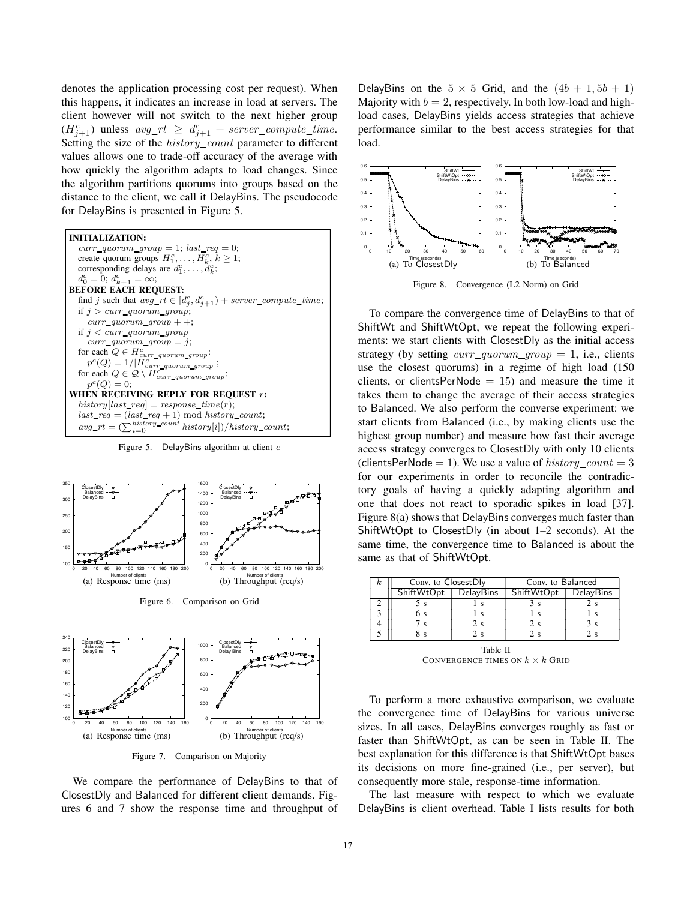denotes the application processing cost per request). When this happens, it indicates an increase in load at servers. The client however will not switch to the next higher group  $(H_{j+1}^c)$  unless  $avg\_rt \geq d_{j+1}^c + server\_compute\_time$ .<br>Setting the size of the history count parameter to different Setting the size of the history\_count parameter to different values allows one to trade-off accuracy of the average with how quickly the algorithm adapts to load changes. Since the algorithm partitions quorums into groups based on the distance to the client, we call it DelayBins. The pseudocode for DelayBins is presented in Figure 5.



Figure 5. DelayBins algorithm at client  $c$ 





Figure 7. Comparison on Majority

We compare the performance of DelayBins to that of ClosestDly and Balanced for different client demands. Figures 6 and 7 show the response time and throughput of

DelayBins on the  $5 \times 5$  Grid, and the  $(4b + 1, 5b + 1)$ Majority with  $b = 2$ , respectively. In both low-load and highload cases, DelayBins yields access strategies that achieve performance similar to the best access strategies for that load.



Figure 8. Convergence (L2 Norm) on Grid

To compare the convergence time of DelayBins to that of ShiftWt and ShiftWtOpt, we repeat the following experiments: we start clients with ClosestDly as the initial access strategy (by setting  $curr\_quorum\_group = 1$ , i.e., clients use the closest quorums) in a regime of high load (150 clients, or clientsPerNode  $= 15$ ) and measure the time it takes them to change the average of their access strategies to Balanced. We also perform the converse experiment: we start clients from Balanced (i.e., by making clients use the highest group number) and measure how fast their average access strategy converges to ClosestDly with only 10 clients (clientsPerNode = 1). We use a value of  $history\_count = 3$ for our experiments in order to reconcile the contradictory goals of having a quickly adapting algorithm and one that does not react to sporadic spikes in load [37]. Figure 8(a) shows that DelayBins converges much faster than ShiftWtOpt to ClosestDly (in about 1–2 seconds). At the same time, the convergence time to Balanced is about the same as that of ShiftWtOpt.

| κ | Conv. to ClosestDly |                  | Conv. to Balanced |                  |  |  |  |
|---|---------------------|------------------|-------------------|------------------|--|--|--|
|   | ShiftWtOpt          | <b>DelayBins</b> | ShiftWtOpt        | <b>DelayBins</b> |  |  |  |
|   |                     |                  |                   |                  |  |  |  |
|   | 6 s                 | -S               |                   |                  |  |  |  |
|   |                     | ΖS               | 2 s               |                  |  |  |  |
|   |                     |                  | ΖS                |                  |  |  |  |
|   |                     |                  |                   |                  |  |  |  |

Table II CONVERGENCE TIMES ON  $k \times k$  GRID

To perform a more exhaustive comparison, we evaluate the convergence time of DelayBins for various universe sizes. In all cases, DelayBins converges roughly as fast or faster than ShiftWtOpt, as can be seen in Table II. The best explanation for this difference is that ShiftWtOpt bases its decisions on more fine-grained (i.e., per server), but consequently more stale, response-time information.

The last measure with respect to which we evaluate DelayBins is client overhead. Table I lists results for both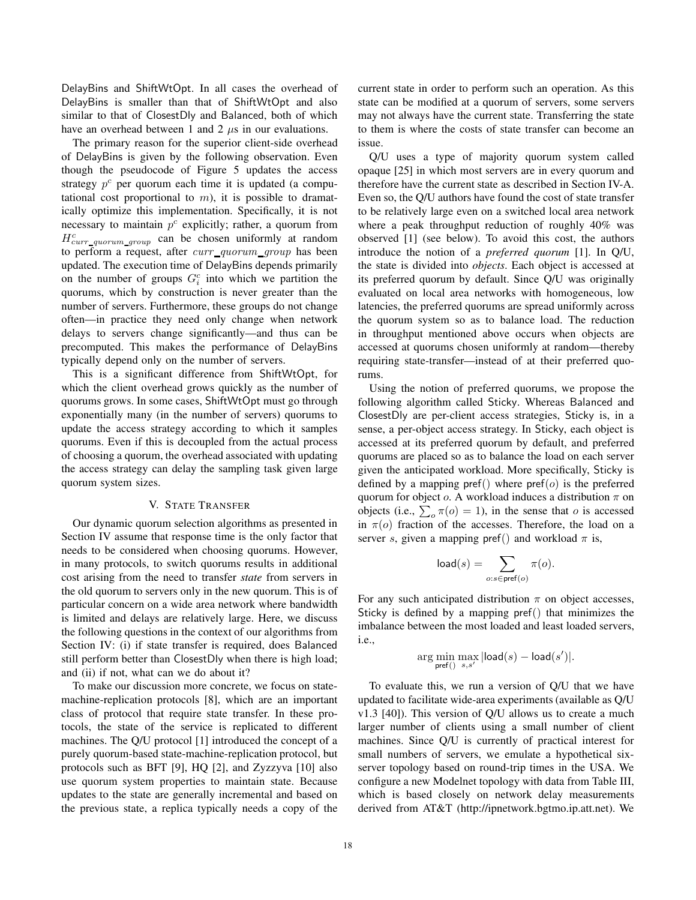DelayBins and ShiftWtOpt. In all cases the overhead of DelayBins is smaller than that of ShiftWtOpt and also similar to that of ClosestDly and Balanced, both of which have an overhead between 1 and 2  $\mu$ s in our evaluations.

The primary reason for the superior client-side overhead of DelayBins is given by the following observation. Even though the pseudocode of Figure 5 updates the access strategy  $p^c$  per quorum each time it is updated (a computational cost proportional to  $m$ ), it is possible to dramatically optimize this implementation. Specifically, it is not necessary to maintain  $p^c$  explicitly; rather, a quorum from  $H_{curr\_quorum\_group}^{c}$  can be chosen uniformly at random to perform a request, after curr\_quorum\_group has been updated. The execution time of DelayBins depends primarily on the number of groups  $G_i^c$  into which we partition the quorums, which by construction is never greater than the number of servers. Furthermore, these groups do not change often—in practice they need only change when network delays to servers change significantly—and thus can be precomputed. This makes the performance of DelayBins typically depend only on the number of servers.

This is a significant difference from ShiftWtOpt, for which the client overhead grows quickly as the number of quorums grows. In some cases, ShiftWtOpt must go through exponentially many (in the number of servers) quorums to update the access strategy according to which it samples quorums. Even if this is decoupled from the actual process of choosing a quorum, the overhead associated with updating the access strategy can delay the sampling task given large quorum system sizes.

# V. STATE TRANSFER

Our dynamic quorum selection algorithms as presented in Section IV assume that response time is the only factor that needs to be considered when choosing quorums. However, in many protocols, to switch quorums results in additional cost arising from the need to transfer *state* from servers in the old quorum to servers only in the new quorum. This is of particular concern on a wide area network where bandwidth is limited and delays are relatively large. Here, we discuss the following questions in the context of our algorithms from Section IV: (i) if state transfer is required, does Balanced still perform better than ClosestDly when there is high load; and (ii) if not, what can we do about it?

To make our discussion more concrete, we focus on statemachine-replication protocols [8], which are an important class of protocol that require state transfer. In these protocols, the state of the service is replicated to different machines. The Q/U protocol [1] introduced the concept of a purely quorum-based state-machine-replication protocol, but protocols such as BFT [9], HQ [2], and Zyzzyva [10] also use quorum system properties to maintain state. Because updates to the state are generally incremental and based on the previous state, a replica typically needs a copy of the current state in order to perform such an operation. As this state can be modified at a quorum of servers, some servers may not always have the current state. Transferring the state to them is where the costs of state transfer can become an issue.

Q/U uses a type of majority quorum system called opaque [25] in which most servers are in every quorum and therefore have the current state as described in Section IV-A. Even so, the Q/U authors have found the cost of state transfer to be relatively large even on a switched local area network where a peak throughput reduction of roughly 40% was observed [1] (see below). To avoid this cost, the authors introduce the notion of a *preferred quorum* [1]. In Q/U, the state is divided into *objects*. Each object is accessed at its preferred quorum by default. Since Q/U was originally evaluated on local area networks with homogeneous, low latencies, the preferred quorums are spread uniformly across the quorum system so as to balance load. The reduction in throughput mentioned above occurs when objects are accessed at quorums chosen uniformly at random—thereby requiring state-transfer—instead of at their preferred quorums.

Using the notion of preferred quorums, we propose the following algorithm called Sticky. Whereas Balanced and ClosestDly are per-client access strategies, Sticky is, in a sense, a per-object access strategy. In Sticky, each object is accessed at its preferred quorum by default, and preferred quorums are placed so as to balance the load on each server given the anticipated workload. More specifically, Sticky is defined by a mapping pref() where  $pref(o)$  is the preferred quorum for object  $o$ . A workload induces a distribution  $\pi$  on objects (i.e.,  $\sum_{o} \pi(o) = 1$ ), in the sense that *o* is accessed<br>in  $\pi(o)$  fraction of the accesses. Therefore, the load on a in  $\pi(o)$  fraction of the accesses. Therefore, the load on a server s, given a mapping pref() and workload  $\pi$  is,

$$
\mathsf{load}(s) = \sum_{o:s \in \mathsf{pref}(o)} \pi(o).
$$

For any such anticipated distribution  $\pi$  on object accesses, Sticky is defined by a mapping pref() that minimizes the imbalance between the most loaded and least loaded servers, i.e.,

$$
\arg\min_{\mathsf{pref}(\text{)}\ s,s'}|\mathsf{load}(s)-\mathsf{load}(s')|.
$$

To evaluate this, we run a version of Q/U that we have updated to facilitate wide-area experiments (available as Q/U v1.3 [40]). This version of Q/U allows us to create a much larger number of clients using a small number of client machines. Since Q/U is currently of practical interest for small numbers of servers, we emulate a hypothetical sixserver topology based on round-trip times in the USA. We configure a new Modelnet topology with data from Table III, which is based closely on network delay measurements derived from AT&T (http://ipnetwork.bgtmo.ip.att.net). We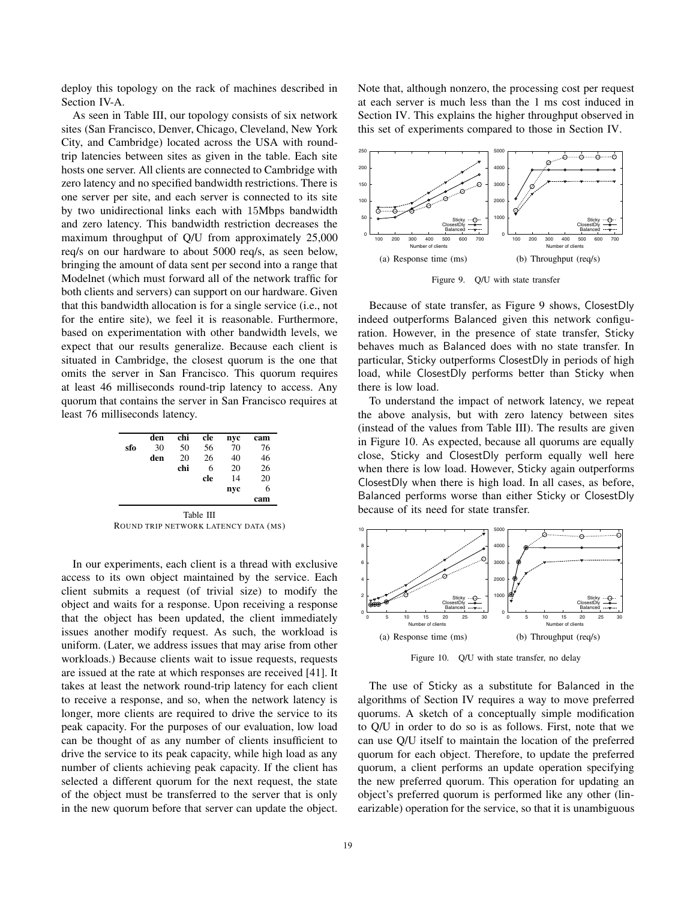deploy this topology on the rack of machines described in Section IV-A.

As seen in Table III, our topology consists of six network sites (San Francisco, Denver, Chicago, Cleveland, New York City, and Cambridge) located across the USA with roundtrip latencies between sites as given in the table. Each site hosts one server. All clients are connected to Cambridge with zero latency and no specified bandwidth restrictions. There is one server per site, and each server is connected to its site by two unidirectional links each with 15Mbps bandwidth and zero latency. This bandwidth restriction decreases the maximum throughput of Q/U from approximately 25,000 req/s on our hardware to about 5000 req/s, as seen below, bringing the amount of data sent per second into a range that Modelnet (which must forward all of the network traffic for both clients and servers) can support on our hardware. Given that this bandwidth allocation is for a single service (i.e., not for the entire site), we feel it is reasonable. Furthermore, based on experimentation with other bandwidth levels, we expect that our results generalize. Because each client is situated in Cambridge, the closest quorum is the one that omits the server in San Francisco. This quorum requires at least 46 milliseconds round-trip latency to access. Any quorum that contains the server in San Francisco requires at least 76 milliseconds latency.

|     | den | chi | cle | nyc | cam |
|-----|-----|-----|-----|-----|-----|
| sfo | 30  | 50  | 56  | 70  | 76  |
|     | den | 20  | 26  | 40  | 46  |
|     |     | chi | 6   | 20  | 26  |
|     |     |     | cle | 14  | 20  |
|     |     |     |     | nvc | 6   |
|     |     |     |     |     | cam |

Table III ROUND TRIP NETWORK LATENCY DATA (MS)

In our experiments, each client is a thread with exclusive access to its own object maintained by the service. Each client submits a request (of trivial size) to modify the object and waits for a response. Upon receiving a response that the object has been updated, the client immediately issues another modify request. As such, the workload is uniform. (Later, we address issues that may arise from other workloads.) Because clients wait to issue requests, requests are issued at the rate at which responses are received [41]. It takes at least the network round-trip latency for each client to receive a response, and so, when the network latency is longer, more clients are required to drive the service to its peak capacity. For the purposes of our evaluation, low load can be thought of as any number of clients insufficient to drive the service to its peak capacity, while high load as any number of clients achieving peak capacity. If the client has selected a different quorum for the next request, the state of the object must be transferred to the server that is only in the new quorum before that server can update the object. Note that, although nonzero, the processing cost per request at each server is much less than the 1 ms cost induced in Section IV. This explains the higher throughput observed in this set of experiments compared to those in Section IV.



Figure 9. Q/U with state transfer

Because of state transfer, as Figure 9 shows, ClosestDly indeed outperforms Balanced given this network configuration. However, in the presence of state transfer, Sticky behaves much as Balanced does with no state transfer. In particular, Sticky outperforms ClosestDly in periods of high load, while ClosestDly performs better than Sticky when there is low load.

To understand the impact of network latency, we repeat the above analysis, but with zero latency between sites (instead of the values from Table III). The results are given in Figure 10. As expected, because all quorums are equally close, Sticky and ClosestDly perform equally well here when there is low load. However, Sticky again outperforms ClosestDly when there is high load. In all cases, as before, Balanced performs worse than either Sticky or ClosestDly because of its need for state transfer.



Figure 10. Q/U with state transfer, no delay

The use of Sticky as a substitute for Balanced in the algorithms of Section IV requires a way to move preferred quorums. A sketch of a conceptually simple modification to Q/U in order to do so is as follows. First, note that we can use Q/U itself to maintain the location of the preferred quorum for each object. Therefore, to update the preferred quorum, a client performs an update operation specifying the new preferred quorum. This operation for updating an object's preferred quorum is performed like any other (linearizable) operation for the service, so that it is unambiguous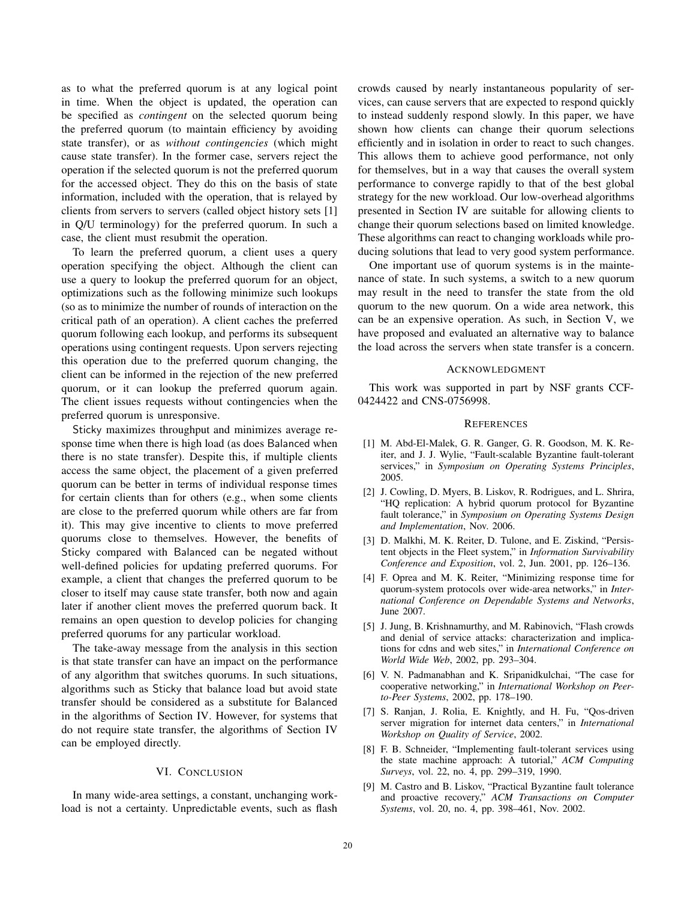as to what the preferred quorum is at any logical point in time. When the object is updated, the operation can be specified as *contingent* on the selected quorum being the preferred quorum (to maintain efficiency by avoiding state transfer), or as *without contingencies* (which might cause state transfer). In the former case, servers reject the operation if the selected quorum is not the preferred quorum for the accessed object. They do this on the basis of state information, included with the operation, that is relayed by clients from servers to servers (called object history sets [1] in Q/U terminology) for the preferred quorum. In such a case, the client must resubmit the operation.

To learn the preferred quorum, a client uses a query operation specifying the object. Although the client can use a query to lookup the preferred quorum for an object, optimizations such as the following minimize such lookups (so as to minimize the number of rounds of interaction on the critical path of an operation). A client caches the preferred quorum following each lookup, and performs its subsequent operations using contingent requests. Upon servers rejecting this operation due to the preferred quorum changing, the client can be informed in the rejection of the new preferred quorum, or it can lookup the preferred quorum again. The client issues requests without contingencies when the preferred quorum is unresponsive.

Sticky maximizes throughput and minimizes average response time when there is high load (as does Balanced when there is no state transfer). Despite this, if multiple clients access the same object, the placement of a given preferred quorum can be better in terms of individual response times for certain clients than for others (e.g., when some clients are close to the preferred quorum while others are far from it). This may give incentive to clients to move preferred quorums close to themselves. However, the benefits of Sticky compared with Balanced can be negated without well-defined policies for updating preferred quorums. For example, a client that changes the preferred quorum to be closer to itself may cause state transfer, both now and again later if another client moves the preferred quorum back. It remains an open question to develop policies for changing preferred quorums for any particular workload.

The take-away message from the analysis in this section is that state transfer can have an impact on the performance of any algorithm that switches quorums. In such situations, algorithms such as Sticky that balance load but avoid state transfer should be considered as a substitute for Balanced in the algorithms of Section IV. However, for systems that do not require state transfer, the algorithms of Section IV can be employed directly.

# VI. CONCLUSION

In many wide-area settings, a constant, unchanging workload is not a certainty. Unpredictable events, such as flash crowds caused by nearly instantaneous popularity of services, can cause servers that are expected to respond quickly to instead suddenly respond slowly. In this paper, we have shown how clients can change their quorum selections efficiently and in isolation in order to react to such changes. This allows them to achieve good performance, not only for themselves, but in a way that causes the overall system performance to converge rapidly to that of the best global strategy for the new workload. Our low-overhead algorithms presented in Section IV are suitable for allowing clients to change their quorum selections based on limited knowledge. These algorithms can react to changing workloads while producing solutions that lead to very good system performance.

One important use of quorum systems is in the maintenance of state. In such systems, a switch to a new quorum may result in the need to transfer the state from the old quorum to the new quorum. On a wide area network, this can be an expensive operation. As such, in Section V, we have proposed and evaluated an alternative way to balance the load across the servers when state transfer is a concern.

#### ACKNOWLEDGMENT

This work was supported in part by NSF grants CCF-0424422 and CNS-0756998.

## **REFERENCES**

- [1] M. Abd-El-Malek, G. R. Ganger, G. R. Goodson, M. K. Reiter, and J. J. Wylie, "Fault-scalable Byzantine fault-tolerant services," in *Symposium on Operating Systems Principles*, 2005.
- [2] J. Cowling, D. Myers, B. Liskov, R. Rodrigues, and L. Shrira, "HQ replication: A hybrid quorum protocol for Byzantine fault tolerance," in *Symposium on Operating Systems Design and Implementation*, Nov. 2006.
- [3] D. Malkhi, M. K. Reiter, D. Tulone, and E. Ziskind, "Persistent objects in the Fleet system," in *Information Survivability Conference and Exposition*, vol. 2, Jun. 2001, pp. 126–136.
- [4] F. Oprea and M. K. Reiter, "Minimizing response time for quorum-system protocols over wide-area networks," in *International Conference on Dependable Systems and Networks*, June 2007.
- [5] J. Jung, B. Krishnamurthy, and M. Rabinovich, "Flash crowds and denial of service attacks: characterization and implications for cdns and web sites," in *International Conference on World Wide Web*, 2002, pp. 293–304.
- [6] V. N. Padmanabhan and K. Sripanidkulchai, "The case for cooperative networking," in *International Workshop on Peerto-Peer Systems*, 2002, pp. 178–190.
- [7] S. Ranjan, J. Rolia, E. Knightly, and H. Fu, "Qos-driven server migration for internet data centers," in *International Workshop on Quality of Service*, 2002.
- [8] F. B. Schneider, "Implementing fault-tolerant services using the state machine approach: A tutorial," *ACM Computing Surveys*, vol. 22, no. 4, pp. 299–319, 1990.
- [9] M. Castro and B. Liskov, "Practical Byzantine fault tolerance and proactive recovery," *ACM Transactions on Computer Systems*, vol. 20, no. 4, pp. 398–461, Nov. 2002.